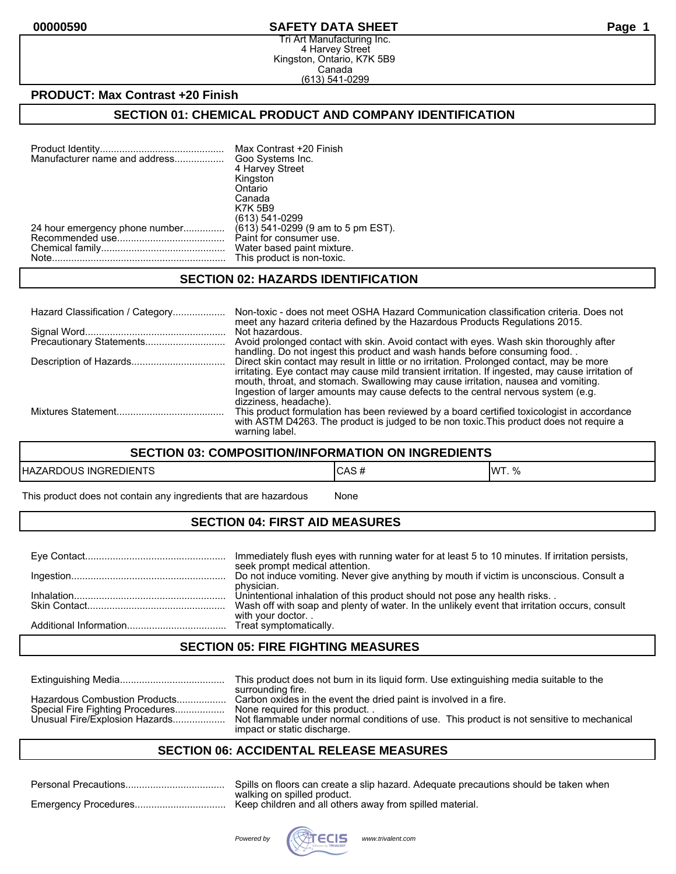#### **00000590 SAFETY DATA SHEET Page 1**

Tri Art Manufacturing Inc. 4 Harvey Street Kingston, Ontario, K7K 5B9 Canada (613) 541-0299

### **PRODUCT: Max Contrast +20 Finish**

## **SECTION 01: CHEMICAL PRODUCT AND COMPANY IDENTIFICATION**

| Manufacturer name and address | Max Contrast +20 Finish<br>Goo Systems Inc.<br>4 Harvey Street<br>Kingston<br>Ontario<br>Canada<br><b>K7K 5B9</b>                           |
|-------------------------------|---------------------------------------------------------------------------------------------------------------------------------------------|
|                               | (613) 541-0299<br>(613) 541-0299 (9 am to 5 pm EST).<br>Paint for consumer use.<br>Water based paint mixture.<br>This product is non-toxic. |

#### **SECTION 02: HAZARDS IDENTIFICATION**

| Non-toxic - does not meet OSHA Hazard Communication classification criteria. Does not<br>meet any hazard criteria defined by the Hazardous Products Regulations 2015.                                                                                                                                                                                                    |
|--------------------------------------------------------------------------------------------------------------------------------------------------------------------------------------------------------------------------------------------------------------------------------------------------------------------------------------------------------------------------|
| Not hazardous.<br>Avoid prolonged contact with skin. Avoid contact with eyes. Wash skin thoroughly after<br>handling. Do not ingest this product and wash hands before consuming food.                                                                                                                                                                                   |
| Direct skin contact may result in little or no irritation. Prolonged contact, may be more<br>irritating. Eye contact may cause mild transient irritation. If ingested, may cause irritation of<br>mouth, throat, and stomach. Swallowing may cause irritation, nausea and vomiting.<br>Ingestion of larger amounts may cause defects to the central nervous system (e.g. |
| dizziness, headache).<br>This product formulation has been reviewed by a board certified toxicologist in accordance<br>with ASTM D4263. The product is judged to be non toxic. This product does not require a<br>warning label.                                                                                                                                         |

## **SECTION 03: COMPOSITION/INFORMATION ON INGREDIENTS**

| HAZA<br>่วเมร<br>DIENTS<br><b>INGRE</b> | ີ<br>$\overline{\phantom{0}}$ | $\mathbf{a}$<br>lWì.<br>70 |
|-----------------------------------------|-------------------------------|----------------------------|
|                                         |                               |                            |

This product does not contain any ingredients that are hazardous Mone

# **SECTION 04: FIRST AID MEASURES**

| Immediately flush eyes with running water for at least 5 to 10 minutes. If irritation persists,<br>seek prompt medical attention.                                                        |
|------------------------------------------------------------------------------------------------------------------------------------------------------------------------------------------|
| Do not induce vomiting. Never give anything by mouth if victim is unconscious. Consult a                                                                                                 |
| physician.<br>Unintentional inhalation of this product should not pose any health risks<br>Wash off with soap and plenty of water. In the unlikely event that irritation occurs, consult |
| with your doctor<br>Treat symptomatically.                                                                                                                                               |

## **SECTION 05: FIRE FIGHTING MEASURES**

|                                                                                                     | This product does not burn in its liquid form. Use extinguishing media suitable to the<br>surrounding fire.                                                                                      |
|-----------------------------------------------------------------------------------------------------|--------------------------------------------------------------------------------------------------------------------------------------------------------------------------------------------------|
| Hazardous Combustion Products<br>Special Fire Fighting Procedures<br>Unusual Fire/Explosion Hazards | Carbon oxides in the event the dried paint is involved in a fire.<br>None required for this product<br>Not flammable under normal conditions of use. This product is not sensitive to mechanical |
|                                                                                                     | impact or static discharge.                                                                                                                                                                      |

### **SECTION 06: ACCIDENTAL RELEASE MEASURES**

| Spills on floors can create a slip hazard. Adequate precautions should be taken when |
|--------------------------------------------------------------------------------------|
| walking on spilled product.                                                          |
|                                                                                      |

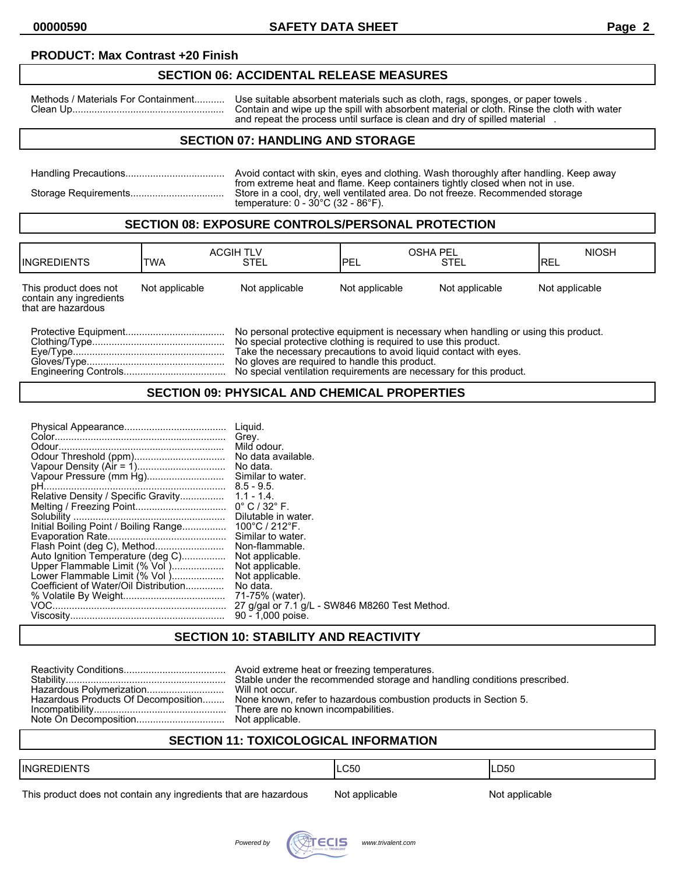## **PRODUCT: Max Contrast +20 Finish**

# **SECTION 06: ACCIDENTAL RELEASE MEASURES**

Methods / Materials For Containment........... Use suitable absorbent materials such as cloth, rags, sponges, or paper towels . Clean Up....................................................... Contain and wipe up the spill with absorbent material or cloth. Rinse the cloth with water and repeat the process until surface is clean and dry of spilled material .

## **SECTION 07: HANDLING AND STORAGE**

| Avoid contact with skin, eyes and clothing. Wash thoroughly after handling. Keep away                                                                                                                                     |
|---------------------------------------------------------------------------------------------------------------------------------------------------------------------------------------------------------------------------|
| from extreme heat and flame. Keep containers tightly closed when not in use.<br>Store in a cool, dry, well ventilated area. Do not freeze. Recommended storage<br>temperature: $0 - 30^{\circ}$ C (32 - 86 $^{\circ}$ F). |

### **SECTION 08: EXPOSURE CONTROLS/PERSONAL PROTECTION**

| <b>IINGREDIENTS</b>                                                    | TWA            | <b>ACGIH TLV</b><br>STEL                                                                                                                                                                                                                                                     | IPEL           | <b>OSHA PEL</b><br><b>STEL</b> | <b>NIOSH</b><br>IREL |
|------------------------------------------------------------------------|----------------|------------------------------------------------------------------------------------------------------------------------------------------------------------------------------------------------------------------------------------------------------------------------------|----------------|--------------------------------|----------------------|
| This product does not<br>contain any ingredients<br>that are hazardous | Not applicable | Not applicable                                                                                                                                                                                                                                                               | Not applicable | Not applicable                 | Not applicable       |
|                                                                        |                | No personal protective equipment is necessary when handling or using this product.<br>No special protective clothing is required to use this product.<br>Take the necessary precautions to avoid liquid contact with eves.<br>No gloves are required to handle this product. |                |                                |                      |

Engineering Controls..................................... No special ventilation requirements are necessary for this product.

#### **SECTION 09: PHYSICAL AND CHEMICAL PROPERTIES**

| Auto Ignition Temperature (deg C)<br>Upper Flammable Limit (% Vol)<br>Lower Flammable Limit (% Vol)<br>Coefficient of Water/Oil Distribution | Liguid.<br>Grey.<br>Mild odour.<br>No data.<br>Similar to water.<br>Similar to water.<br>Non-flammable.<br>Not applicable.<br>Not applicable.<br>Not applicable.<br>No data.<br>71-75% (water).<br>27 g/gal or 7.1 g/L - SW846 M8260 Test Method.<br>90 - 1,000 poise. |
|----------------------------------------------------------------------------------------------------------------------------------------------|------------------------------------------------------------------------------------------------------------------------------------------------------------------------------------------------------------------------------------------------------------------------|
|----------------------------------------------------------------------------------------------------------------------------------------------|------------------------------------------------------------------------------------------------------------------------------------------------------------------------------------------------------------------------------------------------------------------------|

## **SECTION 10: STABILITY AND REACTIVITY**

| Stable under the recommended storage and handling conditions prescribed.<br>Hazardous Products Of Decomposition None known, refer to hazardous combustion products in Section 5.<br>There are no known incompabilities. |  |
|-------------------------------------------------------------------------------------------------------------------------------------------------------------------------------------------------------------------------|--|
|-------------------------------------------------------------------------------------------------------------------------------------------------------------------------------------------------------------------------|--|

# **SECTION 11: TOXICOLOGICAL INFORMATION**

| <b>INGREDIENTS</b> | C50 | LD <sub>50</sub> |
|--------------------|-----|------------------|
|                    |     |                  |

This product does not contain any ingredients that are hazardous Not applicable Not applicable

Powered by **WATECIS** www.trivalent.com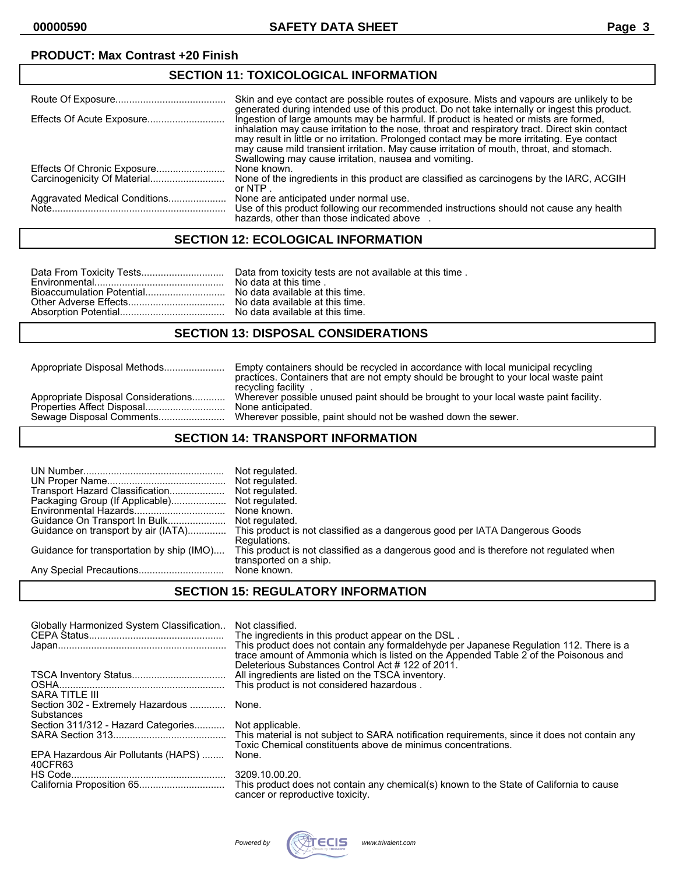# **PRODUCT: Max Contrast +20 Finish**

# **SECTION 11: TOXICOLOGICAL INFORMATION**

|                               | Skin and eve contact are possible routes of exposure. Mists and vapours are unlikely to be<br>generated during intended use of this product. Do not take internally or ingest this product.                                                                                                                                                                                                                                                 |
|-------------------------------|---------------------------------------------------------------------------------------------------------------------------------------------------------------------------------------------------------------------------------------------------------------------------------------------------------------------------------------------------------------------------------------------------------------------------------------------|
| Effects Of Acute Exposure     | Ingestion of large amounts may be harmful. If product is heated or mists are formed,<br>inhalation may cause irritation to the nose, throat and respiratory tract. Direct skin contact<br>may result in little or no irritation. Prolonged contact may be more irritating. Eye contact<br>may cause mild transient irritation. May cause irritation of mouth, throat, and stomach.<br>Swallowing may cause irritation, nausea and vomiting. |
|                               | None known.                                                                                                                                                                                                                                                                                                                                                                                                                                 |
|                               | None of the ingredients in this product are classified as carcinogens by the IARC, ACGIH<br>or NTP.                                                                                                                                                                                                                                                                                                                                         |
| Aggravated Medical Conditions | None are anticipated under normal use.<br>Use of this product following our recommended instructions should not cause any health<br>hazards, other than those indicated above                                                                                                                                                                                                                                                               |

## **SECTION 12: ECOLOGICAL INFORMATION**

### **SECTION 13: DISPOSAL CONSIDERATIONS**

| Appropriate Disposal Considerations<br>Properties Affect Disposal | Empty containers should be recycled in accordance with local municipal recycling<br>practices. Containers that are not empty should be brought to your local waste paint<br>recycling facility<br>Wherever possible unused paint should be brought to your local waste paint facility.<br>None anticipated. |
|-------------------------------------------------------------------|-------------------------------------------------------------------------------------------------------------------------------------------------------------------------------------------------------------------------------------------------------------------------------------------------------------|
|                                                                   | Wherever possible, paint should not be washed down the sewer.                                                                                                                                                                                                                                               |
|                                                                   |                                                                                                                                                                                                                                                                                                             |

## **SECTION 14: TRANSPORT INFORMATION**

| Transport Hazard Classification<br>Guidance on transport by air (IATA)<br>Guidance for transportation by ship (IMO) | Not regulated.<br>Not regulated.<br>This product is not classified as a dangerous good per IATA Dangerous Goods<br>Regulations.<br>This product is not classified as a dangerous good and is therefore not regulated when<br>transported on a ship. |
|---------------------------------------------------------------------------------------------------------------------|-----------------------------------------------------------------------------------------------------------------------------------------------------------------------------------------------------------------------------------------------------|
|                                                                                                                     |                                                                                                                                                                                                                                                     |

# **SECTION 15: REGULATORY INFORMATION**

| Globally Harmonized System Classification                         | Not classified.<br>The ingredients in this product appear on the DSL.<br>This product does not contain any formaldehyde per Japanese Regulation 112. There is a<br>trace amount of Ammonia which is listed on the Appended Table 2 of the Poisonous and<br>Deleterious Substances Control Act #122 of 2011. |
|-------------------------------------------------------------------|-------------------------------------------------------------------------------------------------------------------------------------------------------------------------------------------------------------------------------------------------------------------------------------------------------------|
|                                                                   | This product is not considered hazardous.                                                                                                                                                                                                                                                                   |
| SARA TITLE III<br>Section 302 - Extremely Hazardous  None.        |                                                                                                                                                                                                                                                                                                             |
| Substances<br>Section 311/312 - Hazard Categories Not applicable. |                                                                                                                                                                                                                                                                                                             |
|                                                                   | Toxic Chemical constituents above de minimus concentrations.                                                                                                                                                                                                                                                |
| EPA Hazardous Air Pollutants (HAPS)<br>40CFR63                    | None.                                                                                                                                                                                                                                                                                                       |
|                                                                   | 3209.10.00.20.<br>cancer or reproductive toxicity.                                                                                                                                                                                                                                                          |